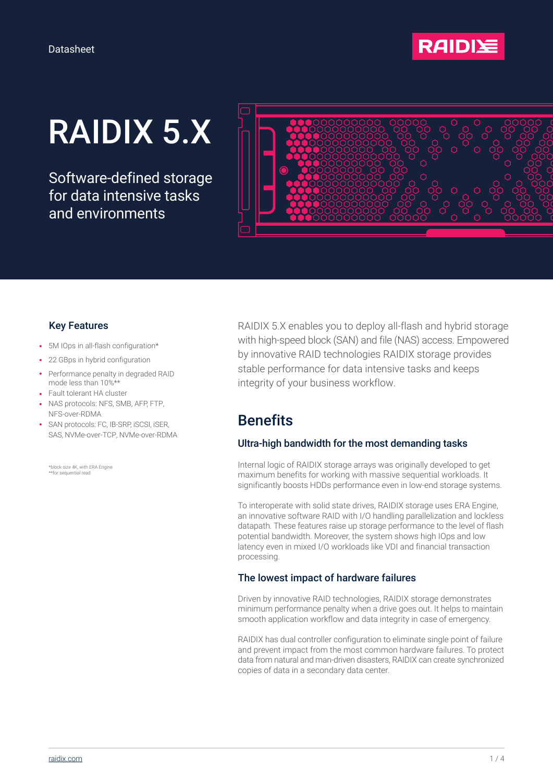

# RAIDIX 5.X

Software-defined storage for data intensive tasks and environments



#### Key Features

- 5M IOps in all-flash configuration\*
- 22 GBps in hybrid configuration
- Performance penalty in degraded RAID mode less than 10%\*\*
- Fault tolerant HA cluster
- NAS protocols: NFS, SMB, AFP, FTP, NFS-over-RDMA
- SAN protocols: FC, IB-SRP, iSCSI, iSER, SAS, NVMe-over-TCP, NVMe-over-RDMA

\*block size 4K, with ERA Engine \*\*for sequential read

RAIDIX 5.X enables you to deploy all-flash and hybrid storage with high-speed block (SAN) and file (NAS) access. Empowered by innovative RAID technologies RAIDIX storage provides stable performance for data intensive tasks and keeps integrity of your business workflow.

## **Benefits**

#### Ultra-high bandwidth for the most demanding tasks

Internal logic of RAIDIX storage arrays was originally developed to get maximum benefits for working with massive sequential workloads. It significantly boosts HDDs performance even in low-end storage systems.

To interoperate with solid state drives, RAIDIX storage uses ERA Engine, an innovative software RAID with I/O handling parallelization and lockless datapath. These features raise up storage performance to the level of flash potential bandwidth. Moreover, the system shows high IOps and low latency even in mixed I/O workloads like VDI and financial transaction processing.

#### The lowest impact of hardware failures

Driven by innovative RAID technologies, RAIDIX storage demonstrates minimum performance penalty when a drive goes out. It helps to maintain smooth application workflow and data integrity in case of emergency.

RAIDIX has dual controller configuration to eliminate single point of failure and prevent impact from the most common hardware failures. To protect data from natural and man-driven disasters, RAIDIX can create synchronized copies of data in a secondary data center.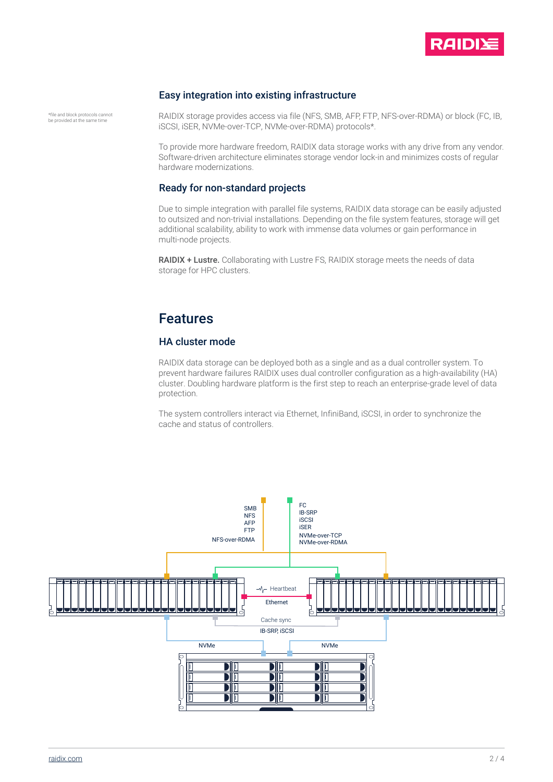

#### Easy integration into existing infrastructure

\*file and block protocols cannot be provided at the same time

RAIDIX storage provides access via file (NFS, SMB, AFP, FTP, NFS-over-RDMA) or block (FC, IB, iSCSI, iSER, NVMe-over-TCP, NVMe-over-RDMA) protocols\*.

To provide more hardware freedom, RAIDIX data storage works with any drive from any vendor. Software-driven architecture eliminates storage vendor lock-in and minimizes costs of regular hardware modernizations.

#### Ready for non-standard projects

Due to simple integration with parallel file systems, RAIDIX data storage can be easily adjusted to outsized and non-trivial installations. Depending on the file system features, storage will get additional scalability, ability to work with immense data volumes or gain performance in multi-node projects.

RAIDIX + Lustre. Collaborating with Lustre FS, RAIDIX storage meets the needs of data storage for HPC clusters.

### Features

#### HA cluster mode

RAIDIX data storage can be deployed both as a single and as a dual controller system. To prevent hardware failures RAIDIX uses dual controller configuration as a high-availability (HA) cluster. Doubling hardware platform is the first step to reach an enterprise-grade level of data protection.

The system controllers interact via Ethernet, InfiniBand, iSCSI, in order to synchronize the cache and status of controllers.

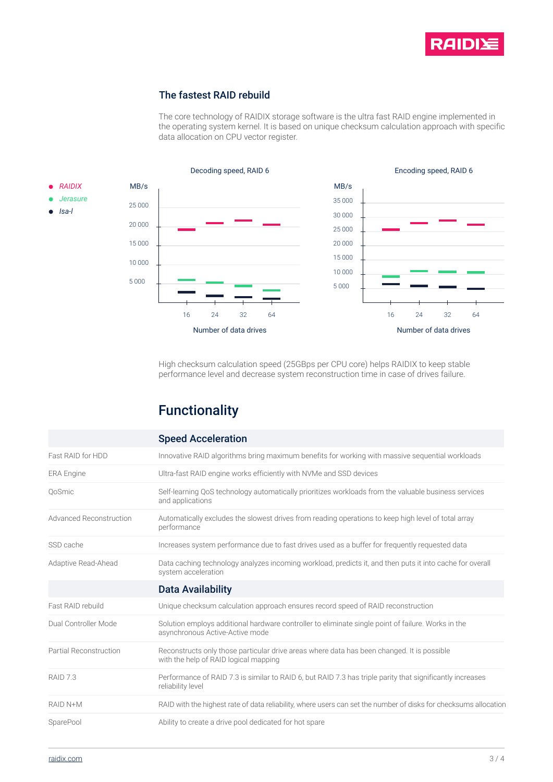

#### The fastest RAID rebuild

The core technology of RAIDIX storage software is the ultra fast RAID engine implemented in the operating system kernel. It is based on unique checksum calculation approach with specific data allocation on CPU vector register.



High checksum calculation speed (25GBps per CPU core) helps RAIDIX to keep stable performance level and decrease system reconstruction time in case of drives failure.

# Functionality

|                                | <b>Speed Acceleration</b>                                                                                                             |  |
|--------------------------------|---------------------------------------------------------------------------------------------------------------------------------------|--|
| Fast RAID for HDD              | Innovative RAID algorithms bring maximum benefits for working with massive sequential workloads                                       |  |
| <b>ERA Engine</b>              | Ultra-fast RAID engine works efficiently with NVMe and SSD devices                                                                    |  |
| QoSmic                         | Self-learning QoS technology automatically prioritizes workloads from the valuable business services<br>and applications              |  |
| <b>Advanced Reconstruction</b> | Automatically excludes the slowest drives from reading operations to keep high level of total array<br>performance                    |  |
| SSD cache                      | Increases system performance due to fast drives used as a buffer for frequently requested data                                        |  |
| Adaptive Read-Ahead            | Data caching technology analyzes incoming workload, predicts it, and then puts it into cache for overall<br>system acceleration       |  |
|                                | <b>Data Availability</b>                                                                                                              |  |
| Fast RAID rebuild              | Unique checksum calculation approach ensures record speed of RAID reconstruction                                                      |  |
| Dual Controller Mode           | Solution employs additional hardware controller to eliminate single point of failure. Works in the<br>asynchronous Active-Active mode |  |
| Partial Reconstruction         | Reconstructs only those particular drive areas where data has been changed. It is possible<br>with the help of RAID logical mapping   |  |
| RAID <sub>7.3</sub>            | Performance of RAID 7.3 is similar to RAID 6, but RAID 7.3 has triple parity that significantly increases<br>reliability level        |  |
|                                |                                                                                                                                       |  |
| RAID N+M                       | RAID with the highest rate of data reliability, where users can set the number of disks for checksums allocation                      |  |